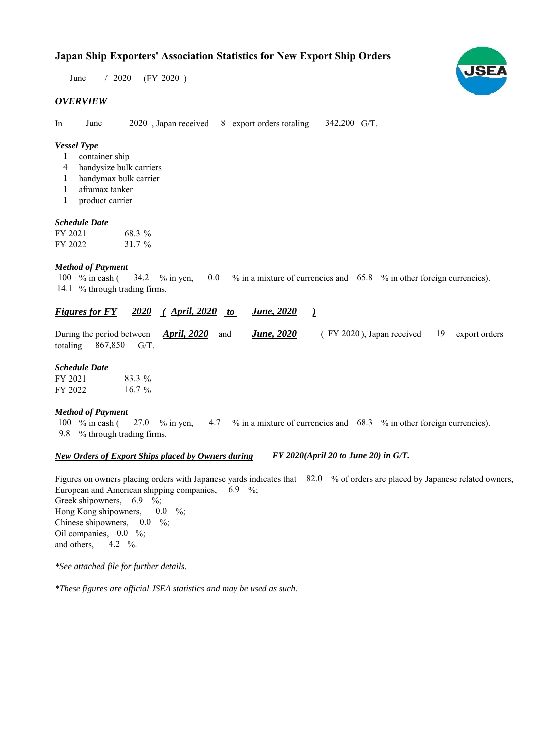# **Japan Ship Exporters' Association Statistics for New Export Ship Orders**

 $/ 2020$  (FY 2020) June

# *OVERVIEW*

In June 2020, Japan received 8 export orders totaling 342,200 G/T.

#### *Vessel Type*

- container ship 1
- handysize bulk carriers 4
- handymax bulk carrier 1
- aframax tanker 1
- product carrier 1

#### *Schedule Date*

| FY 2021 | 68.3 %   |
|---------|----------|
| FY 2022 | $31.7\%$ |

### *Method of Payment*

% in cash ( $\frac{34.2}{8}$  % in yen, 0.0 % in a mixture of currencies and 65.8 % in other foreign currencies). 14.1 % through trading firms. 100  $%$  in cash ( 34.2 % in yen,

#### *<u>Figures for FY 2020 (April, 2020 to June, 2020)</u> June, 2020*

|  |                         | During the period between April, 2020 and June, 2020 |  | (FY 2020), Japan received 19 export orders |  |  |  |
|--|-------------------------|------------------------------------------------------|--|--------------------------------------------|--|--|--|
|  | totaling $867,850$ G/T. |                                                      |  |                                            |  |  |  |

# *Schedule Date*

| FY 2021 | 83.3 %   |
|---------|----------|
| FY 2022 | $16.7\%$ |

#### *Method of Payment*

% in cash ( $\frac{27.0}{8}$  m yen,  $\frac{4.7}{8}$  m a mixture of currencies and  $\frac{68.3}{8}$  m other foreign currencies). % through trading firms. 9.8 27.0 % in yen, 100 % in cash (

#### *New Orders of Export Ships placed by Owners during*

*FY 2020(April 20 to June 20) in G/T.*

Figures on owners placing orders with Japanese yards indicates that 82.0 % of orders are placed by Japanese related owners, European and American shipping companies,  $6.9\%$ ; Greek shipowners, 6.9 %; Hong Kong shipowners, Chinese shipowners,  $0.0\%$ ; Oil companies,  $0.0\%$ ; and others,  $4.2 \frac{6}{6}$ .  $0.0\quad\%$ 

*\*See attached file for further details.*

*\*These figures are official JSEA statistics and may be used as such.*

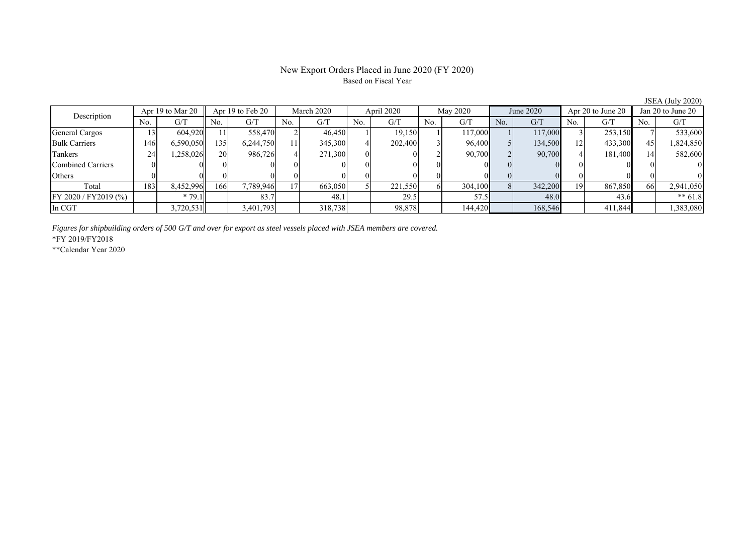# New Export Orders Placed in June 2020 (FY 2020) Based on Fiscal Year

No. G/T No. G/T No. G/T No. G/T No. G/T No. G/T No. G/T No. G/T General Cargos ( 13 604,920 11 558,470 2 46,450 1 19,150 1 117,000 1 117,000 3 253,150 7 533,600 Bulk Carriers | 146 6,590,050 135 6,244,750 11 345,300 4 202,400 3 96,400 5 134,500 12 433,300 45 1,824,850 Tankers | 24| 1,258,026|| 20| 986,726| 4| 271,300| 0| 0| 2| 90,700| 2| 90,700| 4| 181,400|| 14| 582,600 Combined Carriers 0 0 0 0 0 0 0 0 0 0 0 0 0 0 0 0 Others 0 0 0 0 0 0 0 0 0 0 0 0 0 0 0 0 Total | 183 8,452,996 166 7,789,946 17 663,050 5 221,550 6 304,100 8 342,200 19 867,850 66 2,941,050 FY 2020 / FY2019 (%) \* 79.1 83.7 48.1 29.5 57.5 48.0 43.6 \*\* 61.8 In CGT | | 3,720,531 | | 3,401,793 | | 318,738 | | 98,878 | | 144,420 | | 168,546 | | 411,844 | | 1,383,080 Apr 19 to Mar 20 Apr 19 to Feb 20 March 2020 April 2020 May 2020 June 2020 Apr 20 to June 20 Jan 20 to June 20 Description

*Figures for shipbuilding orders of 500 G/T and over for export as steel vessels placed with JSEA members are covered.*

\*FY 2019/FY2018

\*\*Calendar Year 2020

JSEA (July 2020)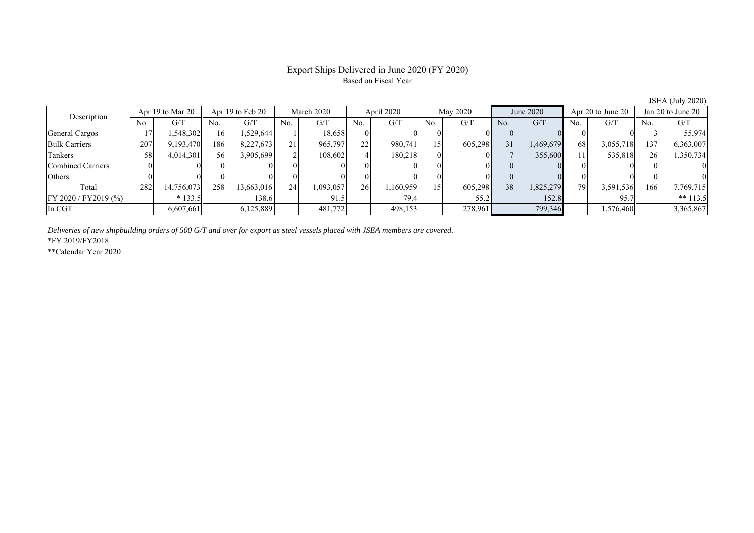# Export Ships Delivered in June 2020 (FY 2020) Based on Fiscal Year

No. G/T No. G/T No. G/T No. G/T No. G/T No. G/T No. G/T No. G/T General Cargos | 17| 1,548,302|| 16| 1,529,644| 1| 18,658| 0| 0| 0| 0| 0| 0| 0| 0| 0| 0| 3| 55,974 Bulk Carriers 207 9,193,470 186 8,227,673 21 965,797 22 980,741 15 605,298 31 1,469,679 68 3,055,718 137 6,363,007 Tankers | 58| 4,014,301|| 56| 3,905,699| 2| 108,602| 4| 180,218| 0| 0| 7| 355,600| 11| 535,818|| 26| 1,350,734 Combined Carriers 0 0 0 0 0 0 0 0 0 0 0 0 0 0 0 0 Others 0 0 0 0 0 0 0 0 0 0 0 0 0 0 0 0 Total 282 14,756,073 258 13,663,016 24 1,093,057 26 1,160,959 15 605,298 38 1,825,279 79 3,591,536 166 7,769,715 FY 2020 / FY2019 (%) \* 133.5 138.6 1 91.5 79.4 55.2 135.8 95.7 \*\* 113.5 In CGT | | 6,607,661| | 6,125,889| | 481,772| | 498,153| | 278,961| | 799,346| | 1,576,460|| | 3,365,867 Description Apr 19 to Mar 20 Apr 19 to Feb 20 March 2020 April 2020 May 2020 June 2020 Apr 20 to June 20 June 20 and 20 to June 20

*Deliveries of new shipbuilding orders of 500 G/T and over for export as steel vessels placed with JSEA members are covered.*

\*FY 2019/FY2018

\*\*Calendar Year 2020

JSEA (July 2020)